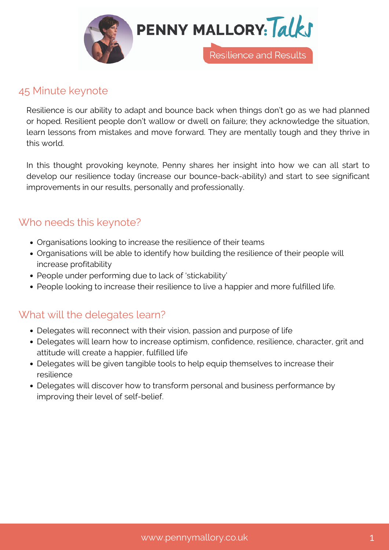

# 45 Minute keynote

Resilience is our ability to adapt and bounce back when things don't go as we had planned or hoped. Resilient people don't wallow or dwell on failure; they acknowledge the situation, learn lessons from mistakes and move forward. They are mentally tough and they thrive in this world.

In this thought provoking keynote, Penny shares her insight into how we can all start to develop our resilience today (increase our bounce-back-ability) and start to see significant improvements in our results, personally and professionally.

## Who needs this keynote?

- Organisations looking to increase the resilience of their teams
- Organisations will be able to identify how building the resilience of their people will increase profitability
- People under performing due to lack of 'stickability'
- People looking to increase their resilience to live a happier and more fulfilled life.

## What will the delegates learn?

- Delegates will reconnect with their vision, passion and purpose of life
- Delegates will learn how to increase optimism, confidence, resilience, character, grit and attitude will create a happier, fulfilled life
- Delegates will be given tangible tools to help equip themselves to increase their resilience
- Delegates will discover how to transform personal and business performance by improving their level of self-belief.